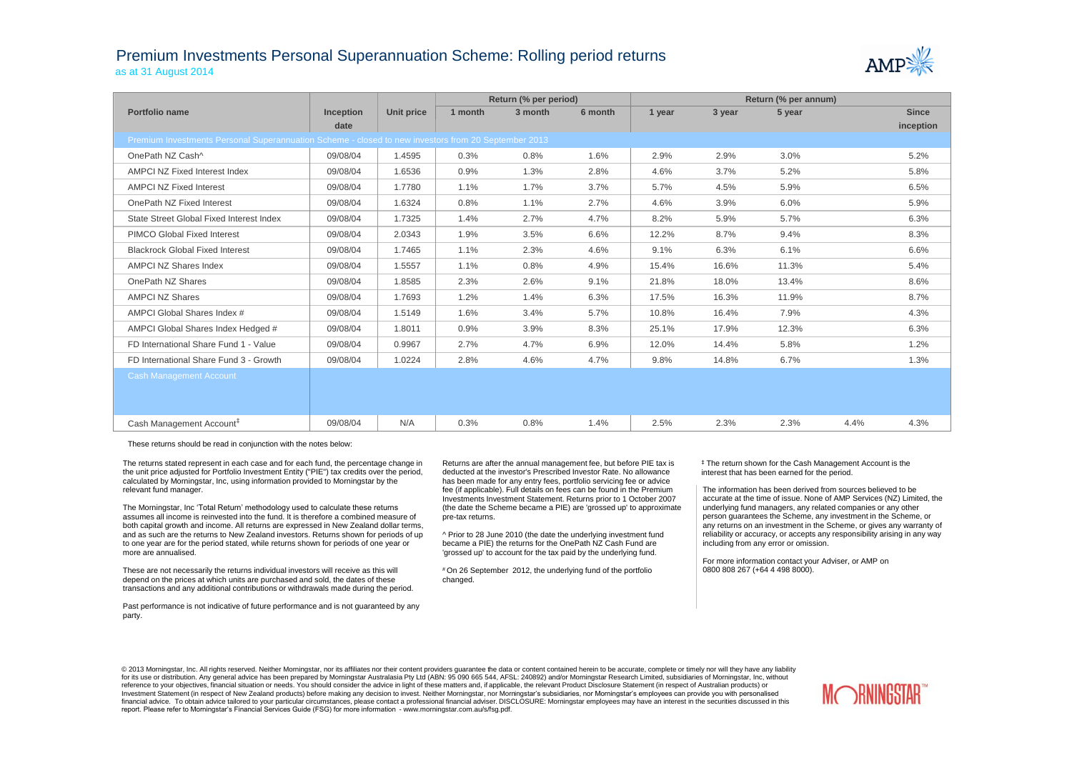## Premium Investments Personal Superannuation Scheme: Rolling period returns as at 31 August 2014



|                                                                                                     |                  |            | Return (% per period) |         |         | Return (% per annum) |        |        |      |              |  |
|-----------------------------------------------------------------------------------------------------|------------------|------------|-----------------------|---------|---------|----------------------|--------|--------|------|--------------|--|
| Portfolio name                                                                                      | <b>Inception</b> | Unit price | 1 month               | 3 month | 6 month | 1 year               | 3 year | 5 year |      | <b>Since</b> |  |
|                                                                                                     | date             |            |                       |         |         |                      |        |        |      | inception    |  |
| Premium Investments Personal Superannuation Scheme - closed to new investors from 20 September 2013 |                  |            |                       |         |         |                      |        |        |      |              |  |
| OnePath NZ Cash^                                                                                    | 09/08/04         | 1.4595     | 0.3%                  | 0.8%    | 1.6%    | 2.9%                 | 2.9%   | 3.0%   |      | 5.2%         |  |
| AMPCI NZ Fixed Interest Index                                                                       | 09/08/04         | 1.6536     | 0.9%                  | 1.3%    | 2.8%    | 4.6%                 | 3.7%   | 5.2%   |      | 5.8%         |  |
| <b>AMPCI NZ Fixed Interest</b>                                                                      | 09/08/04         | 1.7780     | 1.1%                  | 1.7%    | 3.7%    | 5.7%                 | 4.5%   | 5.9%   |      | 6.5%         |  |
| OnePath NZ Fixed Interest                                                                           | 09/08/04         | 1.6324     | 0.8%                  | 1.1%    | 2.7%    | 4.6%                 | 3.9%   | 6.0%   |      | 5.9%         |  |
| State Street Global Fixed Interest Index                                                            | 09/08/04         | 1.7325     | 1.4%                  | 2.7%    | 4.7%    | 8.2%                 | 5.9%   | 5.7%   |      | 6.3%         |  |
| <b>PIMCO Global Fixed Interest</b>                                                                  | 09/08/04         | 2.0343     | 1.9%                  | 3.5%    | 6.6%    | 12.2%                | 8.7%   | 9.4%   |      | 8.3%         |  |
| <b>Blackrock Global Fixed Interest</b>                                                              | 09/08/04         | 1.7465     | 1.1%                  | 2.3%    | 4.6%    | 9.1%                 | 6.3%   | 6.1%   |      | 6.6%         |  |
| <b>AMPCI NZ Shares Index</b>                                                                        | 09/08/04         | 1.5557     | 1.1%                  | 0.8%    | 4.9%    | 15.4%                | 16.6%  | 11.3%  |      | 5.4%         |  |
| OnePath NZ Shares                                                                                   | 09/08/04         | 1.8585     | 2.3%                  | 2.6%    | 9.1%    | 21.8%                | 18.0%  | 13.4%  |      | 8.6%         |  |
| <b>AMPCI NZ Shares</b>                                                                              | 09/08/04         | 1.7693     | 1.2%                  | 1.4%    | 6.3%    | 17.5%                | 16.3%  | 11.9%  |      | 8.7%         |  |
| AMPCI Global Shares Index #                                                                         | 09/08/04         | 1.5149     | 1.6%                  | 3.4%    | 5.7%    | 10.8%                | 16.4%  | 7.9%   |      | 4.3%         |  |
| AMPCI Global Shares Index Hedged #                                                                  | 09/08/04         | 1.8011     | 0.9%                  | 3.9%    | 8.3%    | 25.1%                | 17.9%  | 12.3%  |      | 6.3%         |  |
| FD International Share Fund 1 - Value                                                               | 09/08/04         | 0.9967     | 2.7%                  | 4.7%    | 6.9%    | 12.0%                | 14.4%  | 5.8%   |      | 1.2%         |  |
| FD International Share Fund 3 - Growth                                                              | 09/08/04         | 1.0224     | 2.8%                  | 4.6%    | 4.7%    | 9.8%                 | 14.8%  | 6.7%   |      | 1.3%         |  |
| <b>Cash Management Account</b>                                                                      |                  |            |                       |         |         |                      |        |        |      |              |  |
|                                                                                                     |                  |            |                       |         |         |                      |        |        |      |              |  |
|                                                                                                     |                  |            |                       |         |         |                      |        |        |      |              |  |
| Cash Management Account <sup>#</sup>                                                                | 09/08/04         | N/A        | 0.3%                  | 0.8%    | 1.4%    | 2.5%                 | 2.3%   | 2.3%   | 4.4% | 4.3%         |  |

These returns should be read in conjunction with the notes below:

The returns stated represent in each case and for each fund, the percentage change in the unit price adjusted for Portfolio Investment Entity ("PIE") tax credits over the period, calculated by Morningstar, Inc, using information provided to Morningstar by the relevant fund manager.

The Morningstar, Inc 'Total Return' methodology used to calculate these returns assumes all income is reinvested into the fund. It is therefore a combined measure of both capital growth and income. All returns are expressed in New Zealand dollar terms, and as such are the returns to New Zealand investors. Returns shown for periods of up to one year are for the period stated, while returns shown for periods of one year or more are annualised.

These are not necessarily the returns individual investors will receive as this will depend on the prices at which units are purchased and sold, the dates of these transactions and any additional contributions or withdrawals made during the period.

Past performance is not indicative of future performance and is not guaranteed by any party.

Returns are after the annual management fee, but before PIE tax is deducted at the investor's Prescribed Investor Rate. No allowance has been made for any entry fees, portfolio servicing fee or advice fee (if applicable). Full details on fees can be found in the Premium Investments Investment Statement. Returns prior to 1 October 2007 (the date the Scheme became a PIE) are 'grossed up' to approximate pre-tax returns.

^ Prior to 28 June 2010 (the date the underlying investment fund became a PIE) the returns for the OnePath NZ Cash Fund are 'grossed up' to account for the tax paid by the underlying fund.

# On 26 September 2012, the underlying fund of the portfolio changed.

‡ The return shown for the Cash Management Account is the interest that has been earned for the period.

The information has been derived from sources believed to be accurate at the time of issue. None of AMP Services (NZ) Limited, the underlying fund managers, any related companies or any other person guarantees the Scheme, any investment in the Scheme, or any returns on an investment in the Scheme, or gives any warranty of reliability or accuracy, or accepts any responsibility arising in any way including from any error or omission.

For more information contact your Adviser, or AMP on 0800 808 267 (+64 4 498 8000).

© 2013 Morningstar, Inc. All rights reserved. Neither Morningstar, nor its affiliates nor their content providers quarantee the data or content contained herein to be accurate, complete or timely nor will they have any lia for its use or distribution. Any general advice has been prepared by Morningstar Australasia Pty Ltd (ABN: 95 090 665 544, AFSL: 240892) and/or Morningstar Research Limited, subsidiaries of Morningstar, Inc, without reference to your objectives, financial situation or needs. You should consider the advice in light of these matters and, if applicable, the relevant Product Disclosure Statement (in respect of Australian products) or Investment Statement (in respect of New Zealand products) before making any decision to invest. Neither Morningstar, nor Morningstar's subsidiaries, nor Morningstar's employees can provide you with personalised financial advice. To obtain advice tailored to your particular circumstances, please contact a professional financial adviser. DISCLOSURE: Morningstar employees may have an interest in the securities discussed in this report. Please refer to Morningstar's Financial Services Guide (FSG) for more information - www.morningstar.com.au/s/fsg.pdf.